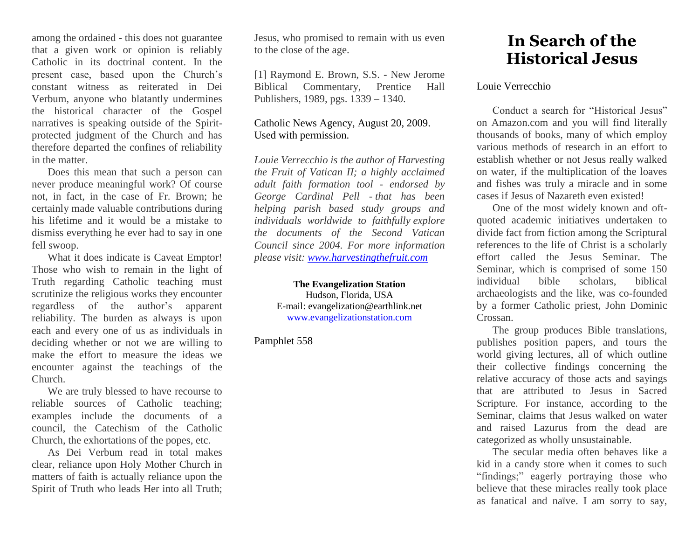among the ordained - this does not guarantee that a given work or opinion is reliably Catholic in its doctrinal content. In the present case, based upon the Church's constant witness as reiterated in Dei Verbum, anyone who blatantly undermines the historical character of the Gospel narratives is speaking outside of the Spiritprotected judgment of the Church and has therefore departed the confines of reliability in the matter.

Does this mean that such a person can never produce meaningful work? Of course not, in fact, in the case of Fr. Brown; he certainly made valuable contributions during his lifetime and it would be a mistake to dismiss everything he ever had to say in one fell swoop.

What it does indicate is Caveat Emptor! Those who wish to remain in the light of Truth regarding Catholic teaching must scrutinize the religious works they encounter regardless of the author's apparent reliability. The burden as always is upon each and every one of us as individuals in deciding whether or not we are willing to make the effort to measure the ideas we encounter against the teachings of the Church.

We are truly blessed to have recourse to reliable sources of Catholic teaching; examples include the documents of a council, the Catechism of the Catholic Church, the exhortations of the popes, etc.

As Dei Verbum read in total makes clear, reliance upon Holy Mother Church in matters of faith is actually reliance upon the Spirit of Truth who leads Her into all Truth; Jesus, who promised to remain with us even to the close of the age.

[1] Raymond E. Brown, S.S. - New Jerome Biblical Commentary, Prentice Hall Publishers, 1989, pgs. 1339 – 1340.

Catholic News Agency, August 20, 2009. Used with permission.

*Louie Verrecchio is the author of Harvesting the Fruit of Vatican II; a highly acclaimed adult faith formation tool - endorsed by George Cardinal Pell - that has been helping parish based study groups and individuals worldwide to faithfully explore the documents of the Second Vatican Council since 2004. For more information please visit: [www.harvestingthefruit.com](http://www.harvestingthefruit.com/)*

> **The Evangelization Station** Hudson, Florida, USA E-mail: evangelization@earthlink.net [www.evangelizationstation.com](http://www.pjpiisoe.org/)

Pamphlet 558

## **In Search of the Historical Jesus**

Louie Verrecchio

Conduct a search for "Historical Jesus" on Amazon.com and you will find literally thousands of books, many of which employ various methods of research in an effort to establish whether or not Jesus really walked on water, if the multiplication of the loaves and fishes was truly a miracle and in some cases if Jesus of Nazareth even existed!

One of the most widely known and oftquoted academic initiatives undertaken to divide fact from fiction among the Scriptural references to the life of Christ is a scholarly effort called the Jesus Seminar. The Seminar, which is comprised of some 150 individual bible scholars, biblical archaeologists and the like, was co-founded by a former Catholic priest, John Dominic Crossan.

The group produces Bible translations, publishes position papers, and tours the world giving lectures, all of which outline their collective findings concerning the relative accuracy of those acts and sayings that are attributed to Jesus in Sacred Scripture. For instance, according to the Seminar, claims that Jesus walked on water and raised Lazurus from the dead are categorized as wholly unsustainable.

The secular media often behaves like a kid in a candy store when it comes to such "findings;" eagerly portraying those who believe that these miracles really took place as fanatical and naïve. I am sorry to say,